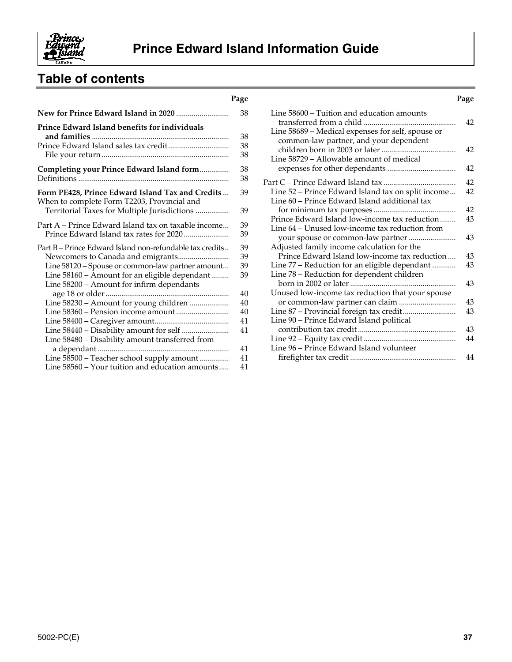

# **Table of contents**

| Prince Edward Island benefits for individuals                                                   | 38<br>38<br>38<br>38<br>38<br>38<br>39 |
|-------------------------------------------------------------------------------------------------|----------------------------------------|
|                                                                                                 |                                        |
|                                                                                                 |                                        |
|                                                                                                 |                                        |
|                                                                                                 |                                        |
|                                                                                                 |                                        |
| Completing your Prince Edward Island form                                                       |                                        |
|                                                                                                 |                                        |
| Form PE428, Prince Edward Island Tax and Credits<br>When to complete Form T2203, Provincial and |                                        |
| Territorial Taxes for Multiple Jurisdictions                                                    | 39                                     |
| Part A – Prince Edward Island tax on taxable income                                             | 39                                     |
|                                                                                                 | 39                                     |
| Part B – Prince Edward Island non-refundable tax credits                                        | 39                                     |
|                                                                                                 | 39                                     |
| Line 58120 - Spouse or common-law partner amount                                                | 39                                     |
| Line 58160 - Amount for an eligible dependant<br>Line 58200 - Amount for infirm dependants      | 39                                     |
|                                                                                                 | 40                                     |
| Line 58230 - Amount for young children                                                          | 40                                     |
|                                                                                                 | 40                                     |
|                                                                                                 | 41                                     |
|                                                                                                 | 41                                     |
| Line 58480 - Disability amount transferred from                                                 |                                        |
|                                                                                                 | 41                                     |
| Line 58500 - Teacher school supply amount                                                       | 41                                     |
| Line 58560 - Your tuition and education amounts                                                 | 41                                     |

| Page |                                                                                                     | Page |
|------|-----------------------------------------------------------------------------------------------------|------|
| 38   | Line 58600 – Tuition and education amounts                                                          | 42   |
| 38   | Line 58689 - Medical expenses for self, spouse or                                                   |      |
| 38   | common-law partner, and your dependent                                                              |      |
| 38   |                                                                                                     | 42   |
|      | Line 58729 – Allowable amount of medical                                                            |      |
| 38   |                                                                                                     | 42   |
| 38   |                                                                                                     | 42   |
|      |                                                                                                     | 42   |
| 39   | Line 52 – Prince Edward Island tax on split income<br>Line 60 – Prince Edward Island additional tax |      |
|      |                                                                                                     | 42   |
| 39   | Prince Edward Island low-income tax reduction                                                       | 43   |
| 39   | Line 64 – Unused low-income tax reduction from                                                      |      |
| 39   |                                                                                                     | 43   |
|      |                                                                                                     |      |
| 39   | Adjusted family income calculation for the<br>Prince Edward Island low-income tax reduction         | 43   |
| 39   |                                                                                                     |      |
| 39   | Line 77 – Reduction for an eligible dependant                                                       | 43   |
| 39   | Line 78 – Reduction for dependent children                                                          |      |
|      |                                                                                                     | 43   |
| 40   | Unused low-income tax reduction that your spouse                                                    |      |
| 40   |                                                                                                     | 43   |
| 40   |                                                                                                     | 43   |
| 41   | Line 90 - Prince Edward Island political                                                            |      |
| 41   |                                                                                                     | 43   |
|      |                                                                                                     | 44   |
| 41   | Line 96 - Prince Edward Island volunteer                                                            |      |
| 41   |                                                                                                     | 44   |
|      |                                                                                                     |      |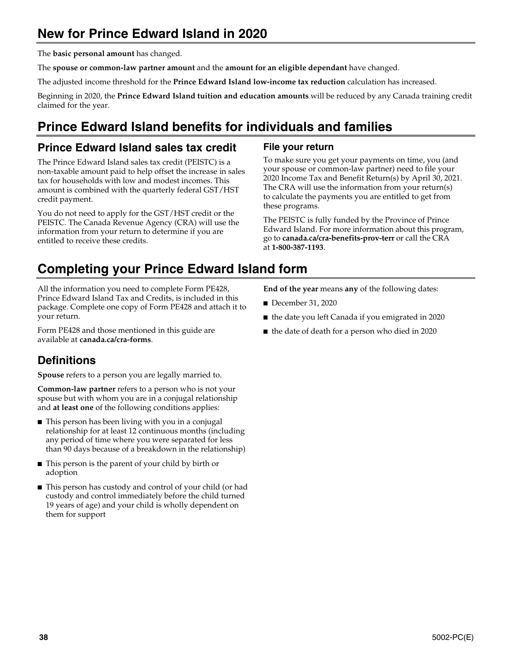# **New for Prince Edward Island in 2020**

The **basic personal amount** has changed.

The **spouse or common-law partner amount** and the **amount for an eligible dependant** have changed.

The adjusted income threshold for the **Prince Edward Island low-income tax reduction** calculation has increased.

Beginning in 2020, the **Prince Edward Island tuition and education amounts** will be reduced by any Canada training credit claimed for the year.

# **Prince Edward Island benefits for individuals and families**

## **Prince Edward Island sales tax credit**

The Prince Edward Island sales tax credit (PEISTC) is a non-taxable amount paid to help offset the increase in sales tax for households with low and modest incomes. This amount is combined with the quarterly federal GST/HST credit payment.

You do not need to apply for the GST/HST credit or the PEISTC. The Canada Revenue Agency (CRA) will use the information from your return to determine if you are entitled to receive these credits.

## **File your return**

To make sure you get your payments on time, you (and your spouse or common-law partner) need to file your 2020 Income Tax and Benefit Return(s) by April 30, 2021. The CRA will use the information from your return(s) to calculate the payments you are entitled to get from these programs.

The PEISTC is fully funded by the Province of Prince Edward Island. For more information about this program, go to **canada.ca/cra-benefits-prov-terr** or call the CRA at **1-800-387-1193**.

## **Completing your Prince Edward Island form**

All the information you need to complete Form PE428, Prince Edward Island Tax and Credits, is included in this package. Complete one copy of Form PE428 and attach it to your return.

Form PE428 and those mentioned in this guide are available at **canada.ca/cra-forms**.

## **Definitions**

**Spouse** refers to a person you are legally married to.

**Common-law partner** refers to a person who is not your spouse but with whom you are in a conjugal relationship and **at least one** of the following conditions applies:

- This person has been living with you in a conjugal relationship for at least 12 continuous months (including any period of time where you were separated for less than 90 days because of a breakdown in the relationship)
- This person is the parent of your child by birth or adoption
- This person has custody and control of your child (or had custody and control immediately before the child turned 19 years of age) and your child is wholly dependent on them for support

**End of the year** means **any** of the following dates:

- December 31, 2020
- the date you left Canada if you emigrated in 2020
- the date of death for a person who died in 2020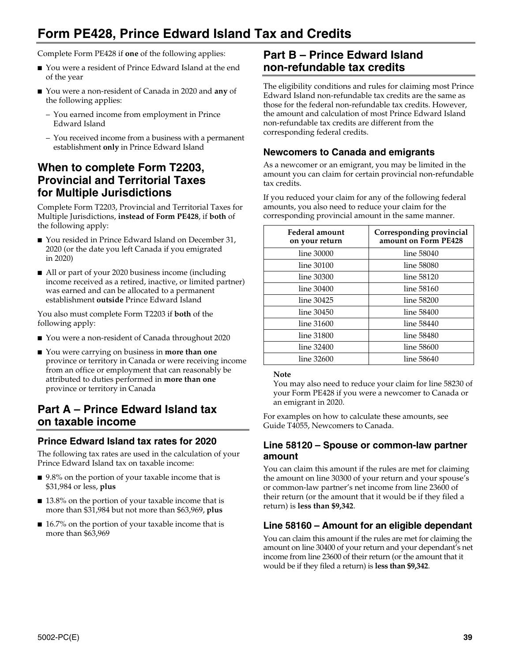# **Form PE428, Prince Edward Island Tax and Credits**

Complete Form PE428 if **one** of the following applies:

- You were a resident of Prince Edward Island at the end of the year
- You were a non-resident of Canada in 2020 and **any** of the following applies:
	- You earned income from employment in Prince Edward Island
	- You received income from a business with a permanent establishment **only** in Prince Edward Island

## **When to complete Form T2203, Provincial and Territorial Taxes for Multiple Jurisdictions**

Complete Form T2203, Provincial and Territorial Taxes for Multiple Jurisdictions, **instead of Form PE428**, if **both** of the following apply:

- You resided in Prince Edward Island on December 31, 2020 (or the date you left Canada if you emigrated in 2020)
- All or part of your 2020 business income (including income received as a retired, inactive, or limited partner) was earned and can be allocated to a permanent establishment **outside** Prince Edward Island

You also must complete Form T2203 if **both** of the following apply:

- You were a non-resident of Canada throughout 2020
- You were carrying on business in **more than one** province or territory in Canada or were receiving income from an office or employment that can reasonably be attributed to duties performed in **more than one** province or territory in Canada

## **Part A – Prince Edward Island tax on taxable income**

## **Prince Edward Island tax rates for 2020**

The following tax rates are used in the calculation of your Prince Edward Island tax on taxable income:

- 9.8% on the portion of your taxable income that is \$31,984 or less, **plus**
- 13.8% on the portion of your taxable income that is more than \$31,984 but not more than \$63,969, **plus**
- 16.7% on the portion of your taxable income that is more than \$63,969

## **Part B – Prince Edward Island non-refundable tax credits**

The eligibility conditions and rules for claiming most Prince Edward Island non-refundable tax credits are the same as those for the federal non-refundable tax credits. However, the amount and calculation of most Prince Edward Island non-refundable tax credits are different from the corresponding federal credits.

## **Newcomers to Canada and emigrants**

As a newcomer or an emigrant, you may be limited in the amount you can claim for certain provincial non-refundable tax credits.

If you reduced your claim for any of the following federal amounts, you also need to reduce your claim for the corresponding provincial amount in the same manner.

| Federal amount<br>on your return | Corresponding provincial<br>amount on Form PE428 |
|----------------------------------|--------------------------------------------------|
| line 30000                       | line 58040                                       |
| line 30100                       | line 58080                                       |
| line 30300                       | line 58120                                       |
| line 30400                       | line 58160                                       |
| line 30425                       | line 58200                                       |
| line 30450                       | line 58400                                       |
| line 31600                       | line 58440                                       |
| line 31800                       | line 58480                                       |
| line 32400                       | line 58600                                       |
| line 32600                       | line 58640                                       |

#### **Note**

You may also need to reduce your claim for line 58230 of your Form PE428 if you were a newcomer to Canada or an emigrant in 2020.

For examples on how to calculate these amounts, see Guide T4055, Newcomers to Canada.

## **Line 58120 – Spouse or common-law partner amount**

You can claim this amount if the rules are met for claiming the amount on line 30300 of your return and your spouse's or common-law partner's net income from line 23600 of their return (or the amount that it would be if they filed a return) is **less than \$9,342**.

## **Line 58160 – Amount for an eligible dependant**

You can claim this amount if the rules are met for claiming the amount on line 30400 of your return and your dependant's net income from line 23600 of their return (or the amount that it would be if they filed a return) is **less than \$9,342**.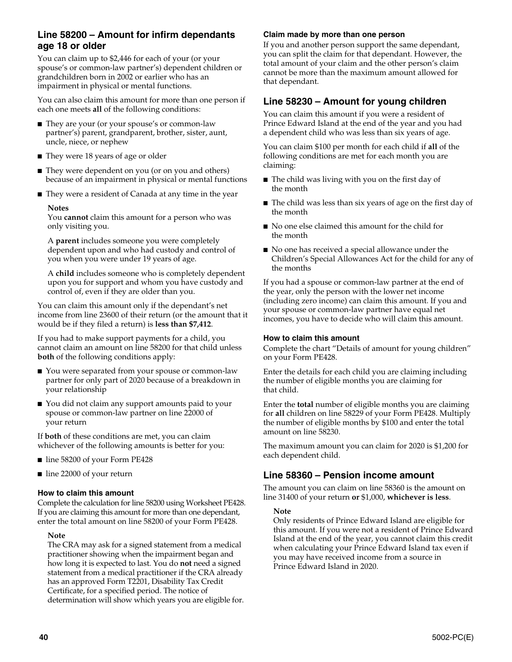## **Line 58200 – Amount for infirm dependants age 18 or older**

You can claim up to \$2,446 for each of your (or your spouse's or common-law partner's) dependent children or grandchildren born in 2002 or earlier who has an impairment in physical or mental functions.

You can also claim this amount for more than one person if each one meets **all** of the following conditions:

- They are your (or your spouse's or common-law partner's) parent, grandparent, brother, sister, aunt, uncle, niece, or nephew
- They were 18 years of age or older
- They were dependent on you (or on you and others) because of an impairment in physical or mental functions
- They were a resident of Canada at any time in the year

#### **Notes**

You **cannot** claim this amount for a person who was only visiting you.

A **parent** includes someone you were completely dependent upon and who had custody and control of you when you were under 19 years of age.

A **child** includes someone who is completely dependent upon you for support and whom you have custody and control of, even if they are older than you.

You can claim this amount only if the dependant's net income from line 23600 of their return (or the amount that it would be if they filed a return) is **less than \$7,412**.

If you had to make support payments for a child, you cannot claim an amount on line 58200 for that child unless **both** of the following conditions apply:

- You were separated from your spouse or common-law partner for only part of 2020 because of a breakdown in your relationship
- You did not claim any support amounts paid to your spouse or common-law partner on line 22000 of your return

If **both** of these conditions are met, you can claim whichever of the following amounts is better for you:

- line 58200 of your Form PE428
- line 22000 of your return

#### **How to claim this amount**

Complete the calculation for line 58200 using Worksheet PE428. If you are claiming this amount for more than one dependant, enter the total amount on line 58200 of your Form PE428.

#### **Note**

The CRA may ask for a signed statement from a medical practitioner showing when the impairment began and how long it is expected to last. You do **not** need a signed statement from a medical practitioner if the CRA already has an approved Form T2201, Disability Tax Credit Certificate, for a specified period. The notice of determination will show which years you are eligible for.

#### **Claim made by more than one person**

If you and another person support the same dependant, you can split the claim for that dependant. However, the total amount of your claim and the other person's claim cannot be more than the maximum amount allowed for that dependant.

## **Line 58230 – Amount for young children**

You can claim this amount if you were a resident of Prince Edward Island at the end of the year and you had a dependent child who was less than six years of age.

You can claim \$100 per month for each child if **all** of the following conditions are met for each month you are claiming:

- The child was living with you on the first day of the month
- The child was less than six years of age on the first day of the month
- No one else claimed this amount for the child for the month
- No one has received a special allowance under the Children's Special Allowances Act for the child for any of the months

If you had a spouse or common-law partner at the end of the year, only the person with the lower net income (including zero income) can claim this amount. If you and your spouse or common-law partner have equal net incomes, you have to decide who will claim this amount.

#### **How to claim this amount**

Complete the chart "Details of amount for young children" on your Form PE428.

Enter the details for each child you are claiming including the number of eligible months you are claiming for that child.

Enter the **total** number of eligible months you are claiming for **all** children on line 58229 of your Form PE428. Multiply the number of eligible months by \$100 and enter the total amount on line 58230.

The maximum amount you can claim for 2020 is \$1,200 for each dependent child.

## **Line 58360 – Pension income amount**

The amount you can claim on line 58360 is the amount on line 31400 of your return **or** \$1,000, **whichever is less**.

#### **Note**

Only residents of Prince Edward Island are eligible for this amount. If you were not a resident of Prince Edward Island at the end of the year, you cannot claim this credit when calculating your Prince Edward Island tax even if you may have received income from a source in Prince Edward Island in 2020.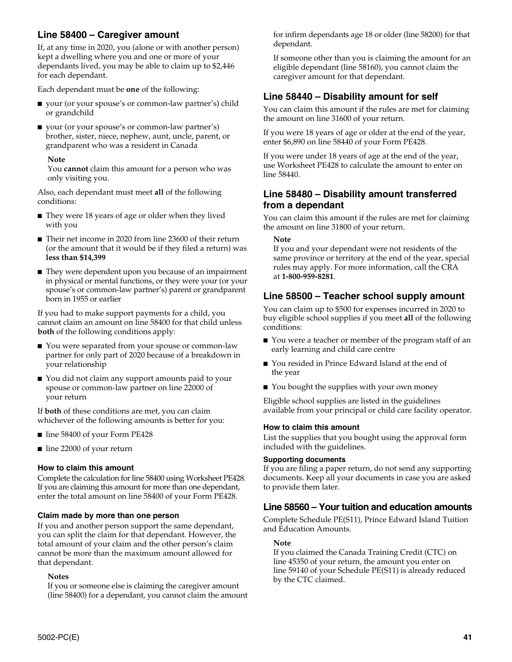## **Line 58400 – Caregiver amount**

If, at any time in 2020, you (alone or with another person) kept a dwelling where you and one or more of your dependants lived, you may be able to claim up to \$2,446 for each dependant.

Each dependant must be **one** of the following:

- your (or your spouse's or common-law partner's) child or grandchild
- your (or your spouse's or common-law partner's) brother, sister, niece, nephew, aunt, uncle, parent, or grandparent who was a resident in Canada

#### **Note**

You **cannot** claim this amount for a person who was only visiting you.

Also, each dependant must meet **all** of the following conditions:

- They were 18 years of age or older when they lived with you
- Their net income in 2020 from line 23600 of their return (or the amount that it would be if they filed a return) was **less than \$14,399**
- They were dependent upon you because of an impairment in physical or mental functions, or they were your (or your spouse's or common-law partner's) parent or grandparent born in 1955 or earlier

If you had to make support payments for a child, you cannot claim an amount on line 58400 for that child unless **both** of the following conditions apply:

- You were separated from your spouse or common-law partner for only part of 2020 because of a breakdown in your relationship
- You did not claim any support amounts paid to your spouse or common-law partner on line 22000 of your return

If **both** of these conditions are met, you can claim whichever of the following amounts is better for you:

- line 58400 of your Form PE428
- line 22000 of your return

#### **How to claim this amount**

Complete the calculation for line 58400 using Worksheet PE428. If you are claiming this amount for more than one dependant, enter the total amount on line 58400 of your Form PE428.

#### **Claim made by more than one person**

If you and another person support the same dependant, you can split the claim for that dependant. However, the total amount of your claim and the other person's claim cannot be more than the maximum amount allowed for that dependant.

#### **Notes**

If you or someone else is claiming the caregiver amount (line 58400) for a dependant, you cannot claim the amount for infirm dependants age 18 or older (line 58200) for that dependant.

If someone other than you is claiming the amount for an eligible dependant (line 58160), you cannot claim the caregiver amount for that dependant.

## **Line 58440 – Disability amount for self**

You can claim this amount if the rules are met for claiming the amount on line 31600 of your return.

If you were 18 years of age or older at the end of the year, enter \$6,890 on line 58440 of your Form PE428.

If you were under 18 years of age at the end of the year, use Worksheet PE428 to calculate the amount to enter on line 58440.

## **Line 58480 – Disability amount transferred from a dependant**

You can claim this amount if the rules are met for claiming the amount on line 31800 of your return.

**Note**

If you and your dependant were not residents of the same province or territory at the end of the year, special rules may apply. For more information, call the CRA at **1-800-959-8281**.

## **Line 58500 – Teacher school supply amount**

You can claim up to \$500 for expenses incurred in 2020 to buy eligible school supplies if you meet **all** of the following conditions:

- You were a teacher or member of the program staff of an early learning and child care centre
- You resided in Prince Edward Island at the end of the year
- You bought the supplies with your own money

Eligible school supplies are listed in the guidelines available from your principal or child care facility operator.

#### **How to claim this amount**

List the supplies that you bought using the approval form included with the guidelines.

#### **Supporting documents**

If you are filing a paper return, do not send any supporting documents. Keep all your documents in case you are asked to provide them later.

### **Line 58560 – Your tuition and education amounts**

Complete Schedule PE(S11), Prince Edward Island Tuition and Education Amounts.

#### **Note**

If you claimed the Canada Training Credit (CTC) on line 45350 of your return, the amount you enter on line 59140 of your Schedule PE(S11) is already reduced by the CTC claimed.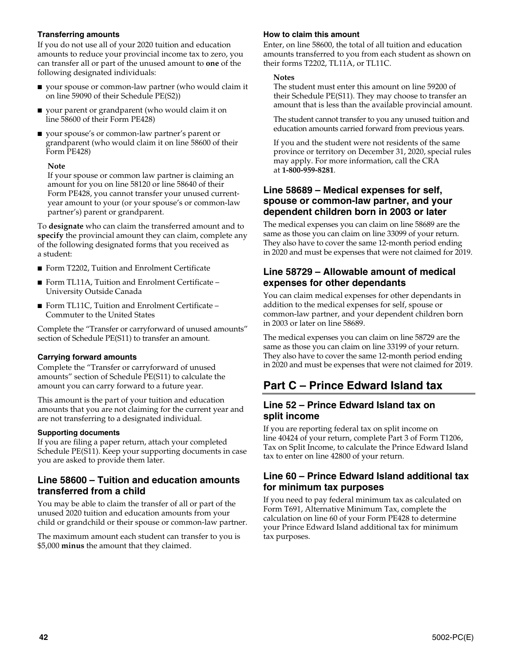#### **Transferring amounts**

If you do not use all of your 2020 tuition and education amounts to reduce your provincial income tax to zero, you can transfer all or part of the unused amount to **one** of the following designated individuals:

- your spouse or common-law partner (who would claim it on line 59090 of their Schedule PE(S2))
- your parent or grandparent (who would claim it on line 58600 of their Form PE428)
- your spouse's or common-law partner's parent or grandparent (who would claim it on line 58600 of their Form PE428)

#### **Note**

If your spouse or common law partner is claiming an amount for you on line 58120 or line 58640 of their Form PE428, you cannot transfer your unused currentyear amount to your (or your spouse's or common-law partner's) parent or grandparent.

To **designate** who can claim the transferred amount and to **specify** the provincial amount they can claim, complete any of the following designated forms that you received as a student:

- Form T2202, Tuition and Enrolment Certificate
- Form TL11A, Tuition and Enrolment Certificate University Outside Canada
- Form TL11C, Tuition and Enrolment Certificate Commuter to the United States

Complete the "Transfer or carryforward of unused amounts" section of Schedule PE(S11) to transfer an amount.

#### **Carrying forward amounts**

Complete the "Transfer or carryforward of unused amounts" section of Schedule PE(S11) to calculate the amount you can carry forward to a future year.

This amount is the part of your tuition and education amounts that you are not claiming for the current year and are not transferring to a designated individual.

#### **Supporting documents**

If you are filing a paper return, attach your completed Schedule PE(S11). Keep your supporting documents in case you are asked to provide them later.

## **Line 58600 – Tuition and education amounts transferred from a child**

You may be able to claim the transfer of all or part of the unused 2020 tuition and education amounts from your child or grandchild or their spouse or common-law partner.

The maximum amount each student can transfer to you is \$5,000 **minus** the amount that they claimed.

#### **How to claim this amount**

Enter, on line 58600, the total of all tuition and education amounts transferred to you from each student as shown on their forms T2202, TL11A, or TL11C.

#### **Notes**

The student must enter this amount on line 59200 of their Schedule PE(S11). They may choose to transfer an amount that is less than the available provincial amount.

The student cannot transfer to you any unused tuition and education amounts carried forward from previous years.

If you and the student were not residents of the same province or territory on December 31, 2020, special rules may apply. For more information, call the CRA at **1-800-959-8281**.

### **Line 58689 – Medical expenses for self, spouse or common-law partner, and your dependent children born in 2003 or later**

The medical expenses you can claim on line 58689 are the same as those you can claim on line 33099 of your return. They also have to cover the same 12-month period ending in 2020 and must be expenses that were not claimed for 2019.

## **Line 58729 – Allowable amount of medical expenses for other dependants**

You can claim medical expenses for other dependants in addition to the medical expenses for self, spouse or common-law partner, and your dependent children born in 2003 or later on line 58689.

The medical expenses you can claim on line 58729 are the same as those you can claim on line 33199 of your return. They also have to cover the same 12-month period ending in 2020 and must be expenses that were not claimed for 2019.

## **Part C – Prince Edward Island tax**

## **Line 52 – Prince Edward Island tax on split income**

If you are reporting federal tax on split income on line 40424 of your return, complete Part 3 of Form T1206, Tax on Split Income, to calculate the Prince Edward Island tax to enter on line 42800 of your return.

## **Line 60 – Prince Edward Island additional tax for minimum tax purposes**

If you need to pay federal minimum tax as calculated on Form T691, Alternative Minimum Tax, complete the calculation on line 60 of your Form PE428 to determine your Prince Edward Island additional tax for minimum tax purposes.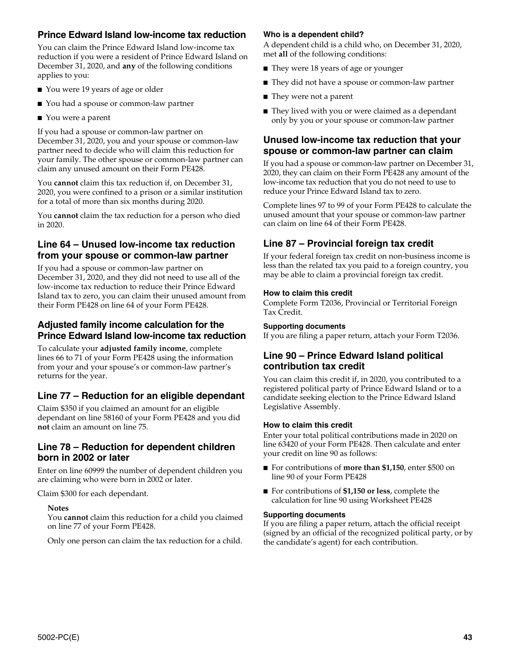## **Prince Edward Island low-income tax reduction**

You can claim the Prince Edward Island low-income tax reduction if you were a resident of Prince Edward Island on December 31, 2020, and **any** of the following conditions applies to you:

- You were 19 years of age or older
- You had a spouse or common-law partner
- You were a parent

If you had a spouse or common-law partner on December 31, 2020, you and your spouse or common-law partner need to decide who will claim this reduction for your family. The other spouse or common-law partner can claim any unused amount on their Form PE428.

You **cannot** claim this tax reduction if, on December 31, 2020, you were confined to a prison or a similar institution for a total of more than six months during 2020.

You **cannot** claim the tax reduction for a person who died in 2020.

## **Line 64 – Unused low-income tax reduction from your spouse or common-law partner**

If you had a spouse or common-law partner on December 31, 2020, and they did not need to use all of the low-income tax reduction to reduce their Prince Edward Island tax to zero, you can claim their unused amount from their Form PE428 on line 64 of your Form PE428.

## **Adjusted family income calculation for the Prince Edward Island low-income tax reduction**

To calculate your **adjusted family income**, complete lines 66 to 71 of your Form PE428 using the information from your and your spouse's or common-law partner's returns for the year.

## **Line 77 – Reduction for an eligible dependant**

Claim \$350 if you claimed an amount for an eligible dependant on line 58160 of your Form PE428 and you did **not** claim an amount on line 75.

## **Line 78 – Reduction for dependent children born in 2002 or later**

Enter on line 60999 the number of dependent children you are claiming who were born in 2002 or later.

Claim \$300 for each dependant.

#### **Notes**

You **cannot** claim this reduction for a child you claimed on line 77 of your Form PE428.

Only one person can claim the tax reduction for a child.

#### **Who is a dependent child?**

A dependent child is a child who, on December 31, 2020, met **all** of the following conditions:

- They were 18 years of age or younger
- They did not have a spouse or common-law partner
- They were not a parent
- They lived with you or were claimed as a dependant only by you or your spouse or common-law partner

## **Unused low-income tax reduction that your spouse or common-law partner can claim**

If you had a spouse or common-law partner on December 31, 2020, they can claim on their Form PE428 any amount of the low-income tax reduction that you do not need to use to reduce your Prince Edward Island tax to zero.

Complete lines 97 to 99 of your Form PE428 to calculate the unused amount that your spouse or common-law partner can claim on line 64 of their Form PE428.

## **Line 87 – Provincial foreign tax credit**

If your federal foreign tax credit on non-business income is less than the related tax you paid to a foreign country, you may be able to claim a provincial foreign tax credit.

#### **How to claim this credit**

Complete Form T2036, Provincial or Territorial Foreign Tax Credit.

#### **Supporting documents**

If you are filing a paper return, attach your Form T2036.

### **Line 90 – Prince Edward Island political contribution tax credit**

You can claim this credit if, in 2020, you contributed to a registered political party of Prince Edward Island or to a candidate seeking election to the Prince Edward Island Legislative Assembly.

#### **How to claim this credit**

Enter your total political contributions made in 2020 on line 63420 of your Form PE428. Then calculate and enter your credit on line 90 as follows:

- For contributions of **more than \$1,150**, enter \$500 on line 90 of your Form PE428
- For contributions of **\$1,150 or less**, complete the calculation for line 90 using Worksheet PE428

#### **Supporting documents**

If you are filing a paper return, attach the official receipt (signed by an official of the recognized political party, or by the candidate's agent) for each contribution.